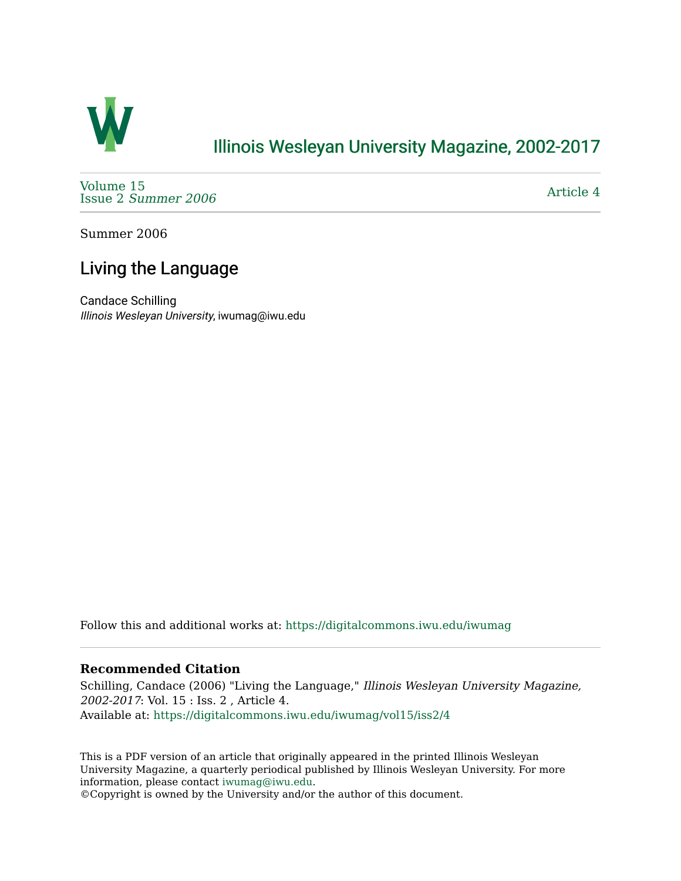

# [Illinois Wesleyan University Magazine, 2002-2017](https://digitalcommons.iwu.edu/iwumag)

[Volume 15](https://digitalcommons.iwu.edu/iwumag/vol15)  Issue 2 [Summer 2006](https://digitalcommons.iwu.edu/iwumag/vol15/iss2) 

[Article 4](https://digitalcommons.iwu.edu/iwumag/vol15/iss2/4) 

Summer 2006

# Living the Language

Candace Schilling Illinois Wesleyan University, iwumag@iwu.edu

Follow this and additional works at: [https://digitalcommons.iwu.edu/iwumag](https://digitalcommons.iwu.edu/iwumag?utm_source=digitalcommons.iwu.edu%2Fiwumag%2Fvol15%2Fiss2%2F4&utm_medium=PDF&utm_campaign=PDFCoverPages) 

## **Recommended Citation**

Schilling, Candace (2006) "Living the Language," Illinois Wesleyan University Magazine, 2002-2017: Vol. 15 : Iss. 2 , Article 4. Available at: [https://digitalcommons.iwu.edu/iwumag/vol15/iss2/4](https://digitalcommons.iwu.edu/iwumag/vol15/iss2/4?utm_source=digitalcommons.iwu.edu%2Fiwumag%2Fvol15%2Fiss2%2F4&utm_medium=PDF&utm_campaign=PDFCoverPages)

This is a PDF version of an article that originally appeared in the printed Illinois Wesleyan University Magazine, a quarterly periodical published by Illinois Wesleyan University. For more information, please contact [iwumag@iwu.edu](mailto:iwumag@iwu.edu).

©Copyright is owned by the University and/or the author of this document.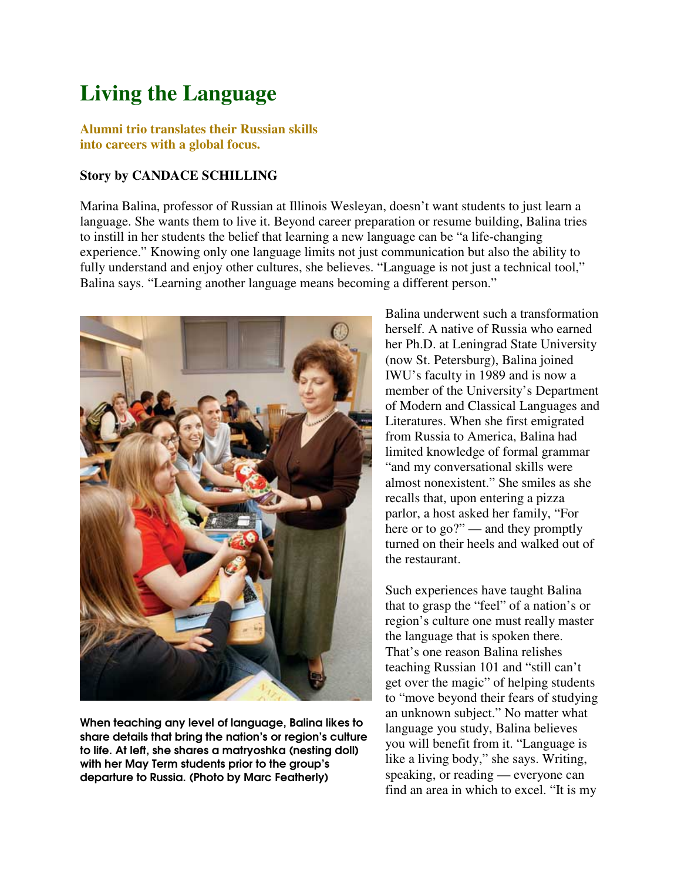# **Living the Language**

**Alumni trio translates their Russian skills into careers with a global focus.**

#### **Story by CANDACE SCHILLING**

Marina Balina, professor of Russian at Illinois Wesleyan, doesn't want students to just learn a language. She wants them to live it. Beyond career preparation or resume building, Balina tries to instill in her students the belief that learning a new language can be "a life-changing experience." Knowing only one language limits not just communication but also the ability to fully understand and enjoy other cultures, she believes. "Language is not just a technical tool," Balina says. "Learning another language means becoming a different person."



When teaching any level of language, Balina likes to share details that bring the nation's or region's culture to life. At left, she shares a matryoshka (nesting doll) with her May Term students prior to the group's departure to Russia. (Photo by Marc Featherly)

Balina underwent such a transformation herself. A native of Russia who earned her Ph.D. at Leningrad State University (now St. Petersburg), Balina joined IWU's faculty in 1989 and is now a member of the University's Department of Modern and Classical Languages and Literatures. When she first emigrated from Russia to America, Balina had limited knowledge of formal grammar "and my conversational skills were almost nonexistent." She smiles as she recalls that, upon entering a pizza parlor, a host asked her family, "For here or to go?" — and they promptly turned on their heels and walked out of the restaurant.

Such experiences have taught Balina that to grasp the "feel" of a nation's or region's culture one must really master the language that is spoken there. That's one reason Balina relishes teaching Russian 101 and "still can't get over the magic" of helping students to "move beyond their fears of studying an unknown subject." No matter what language you study, Balina believes you will benefit from it. "Language is like a living body," she says. Writing, speaking, or reading — everyone can find an area in which to excel. "It is my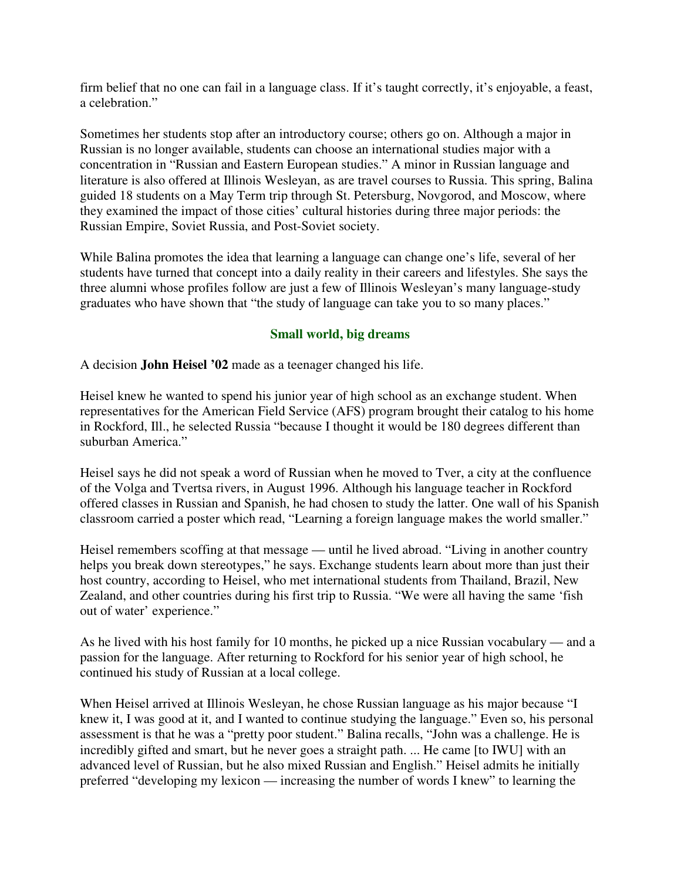firm belief that no one can fail in a language class. If it's taught correctly, it's enjoyable, a feast, a celebration."

Sometimes her students stop after an introductory course; others go on. Although a major in Russian is no longer available, students can choose an international studies major with a concentration in "Russian and Eastern European studies." A minor in Russian language and literature is also offered at Illinois Wesleyan, as are travel courses to Russia. This spring, Balina guided 18 students on a May Term trip through St. Petersburg, Novgorod, and Moscow, where they examined the impact of those cities' cultural histories during three major periods: the Russian Empire, Soviet Russia, and Post-Soviet society.

While Balina promotes the idea that learning a language can change one's life, several of her students have turned that concept into a daily reality in their careers and lifestyles. She says the three alumni whose profiles follow are just a few of Illinois Wesleyan's many language-study graduates who have shown that "the study of language can take you to so many places."

## **Small world, big dreams**

A decision **John Heisel '02** made as a teenager changed his life.

Heisel knew he wanted to spend his junior year of high school as an exchange student. When representatives for the American Field Service (AFS) program brought their catalog to his home in Rockford, Ill., he selected Russia "because I thought it would be 180 degrees different than suburban America."

Heisel says he did not speak a word of Russian when he moved to Tver, a city at the confluence of the Volga and Tvertsa rivers, in August 1996. Although his language teacher in Rockford offered classes in Russian and Spanish, he had chosen to study the latter. One wall of his Spanish classroom carried a poster which read, "Learning a foreign language makes the world smaller."

Heisel remembers scoffing at that message — until he lived abroad. "Living in another country helps you break down stereotypes," he says. Exchange students learn about more than just their host country, according to Heisel, who met international students from Thailand, Brazil, New Zealand, and other countries during his first trip to Russia. "We were all having the same 'fish out of water' experience."

As he lived with his host family for 10 months, he picked up a nice Russian vocabulary — and a passion for the language. After returning to Rockford for his senior year of high school, he continued his study of Russian at a local college.

When Heisel arrived at Illinois Wesleyan, he chose Russian language as his major because "I knew it, I was good at it, and I wanted to continue studying the language." Even so, his personal assessment is that he was a "pretty poor student." Balina recalls, "John was a challenge. He is incredibly gifted and smart, but he never goes a straight path. ... He came [to IWU] with an advanced level of Russian, but he also mixed Russian and English." Heisel admits he initially preferred "developing my lexicon — increasing the number of words I knew" to learning the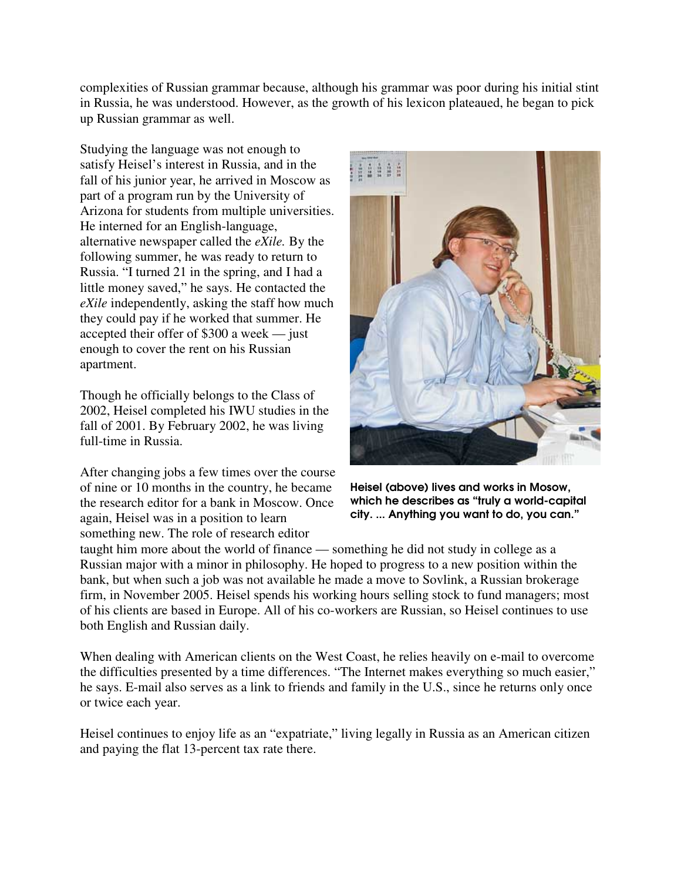complexities of Russian grammar because, although his grammar was poor during his initial stint in Russia, he was understood. However, as the growth of his lexicon plateaued, he began to pick up Russian grammar as well.

Studying the language was not enough to satisfy Heisel's interest in Russia, and in the fall of his junior year, he arrived in Moscow as part of a program run by the University of Arizona for students from multiple universities. He interned for an English-language, alternative newspaper called the *eXile.* By the following summer, he was ready to return to Russia. "I turned 21 in the spring, and I had a little money saved," he says. He contacted the *eXile* independently, asking the staff how much they could pay if he worked that summer. He accepted their offer of \$300 a week — just enough to cover the rent on his Russian apartment.

Though he officially belongs to the Class of 2002, Heisel completed his IWU studies in the fall of 2001. By February 2002, he was living full-time in Russia.

After changing jobs a few times over the course of nine or 10 months in the country, he became the research editor for a bank in Moscow. Once again, Heisel was in a position to learn something new. The role of research editor



Heisel (above) lives and works in Mosow, which he describes as "truly a world-capital city. ... Anything you want to do, you can."

taught him more about the world of finance — something he did not study in college as a Russian major with a minor in philosophy. He hoped to progress to a new position within the bank, but when such a job was not available he made a move to Sovlink, a Russian brokerage firm, in November 2005. Heisel spends his working hours selling stock to fund managers; most of his clients are based in Europe. All of his co-workers are Russian, so Heisel continues to use both English and Russian daily.

When dealing with American clients on the West Coast, he relies heavily on e-mail to overcome the difficulties presented by a time differences. "The Internet makes everything so much easier," he says. E-mail also serves as a link to friends and family in the U.S., since he returns only once or twice each year.

Heisel continues to enjoy life as an "expatriate," living legally in Russia as an American citizen and paying the flat 13-percent tax rate there.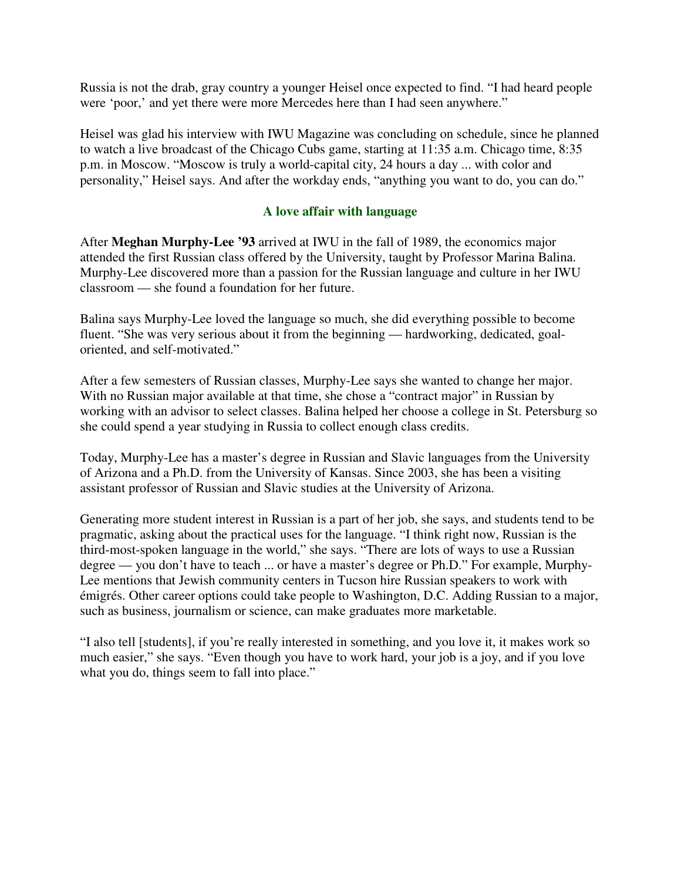Russia is not the drab, gray country a younger Heisel once expected to find. "I had heard people were 'poor,' and yet there were more Mercedes here than I had seen anywhere."

Heisel was glad his interview with IWU Magazine was concluding on schedule, since he planned to watch a live broadcast of the Chicago Cubs game, starting at 11:35 a.m. Chicago time, 8:35 p.m. in Moscow. "Moscow is truly a world-capital city, 24 hours a day ... with color and personality," Heisel says. And after the workday ends, "anything you want to do, you can do."

# **A love affair with language**

After **Meghan Murphy-Lee '93** arrived at IWU in the fall of 1989, the economics major attended the first Russian class offered by the University, taught by Professor Marina Balina. Murphy-Lee discovered more than a passion for the Russian language and culture in her IWU classroom — she found a foundation for her future.

Balina says Murphy-Lee loved the language so much, she did everything possible to become fluent. "She was very serious about it from the beginning — hardworking, dedicated, goaloriented, and self-motivated."

After a few semesters of Russian classes, Murphy-Lee says she wanted to change her major. With no Russian major available at that time, she chose a "contract major" in Russian by working with an advisor to select classes. Balina helped her choose a college in St. Petersburg so she could spend a year studying in Russia to collect enough class credits.

Today, Murphy-Lee has a master's degree in Russian and Slavic languages from the University of Arizona and a Ph.D. from the University of Kansas. Since 2003, she has been a visiting assistant professor of Russian and Slavic studies at the University of Arizona.

Generating more student interest in Russian is a part of her job, she says, and students tend to be pragmatic, asking about the practical uses for the language. "I think right now, Russian is the third-most-spoken language in the world," she says. "There are lots of ways to use a Russian degree — you don't have to teach ... or have a master's degree or Ph.D." For example, Murphy-Lee mentions that Jewish community centers in Tucson hire Russian speakers to work with émigrés. Other career options could take people to Washington, D.C. Adding Russian to a major, such as business, journalism or science, can make graduates more marketable.

"I also tell [students], if you're really interested in something, and you love it, it makes work so much easier," she says. "Even though you have to work hard, your job is a joy, and if you love what you do, things seem to fall into place."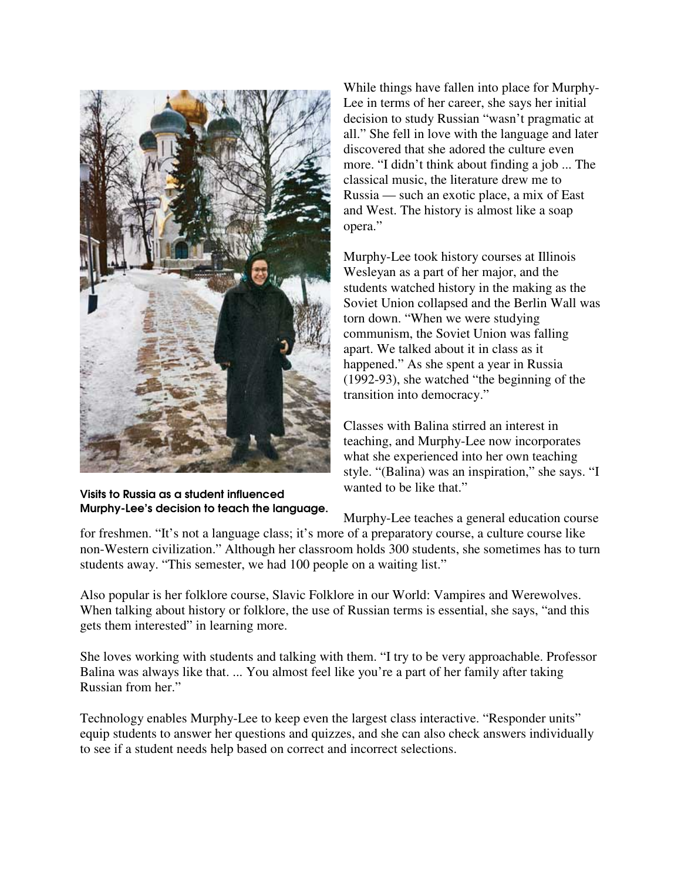

Visits to Russia as a student influenced Murphy-Lee's decision to teach the language.

While things have fallen into place for Murphy-Lee in terms of her career, she says her initial decision to study Russian "wasn't pragmatic at all." She fell in love with the language and later discovered that she adored the culture even more. "I didn't think about finding a job ... The classical music, the literature drew me to Russia — such an exotic place, a mix of East and West. The history is almost like a soap opera."

Murphy-Lee took history courses at Illinois Wesleyan as a part of her major, and the students watched history in the making as the Soviet Union collapsed and the Berlin Wall was torn down. "When we were studying communism, the Soviet Union was falling apart. We talked about it in class as it happened." As she spent a year in Russia (1992-93), she watched "the beginning of the transition into democracy."

Classes with Balina stirred an interest in teaching, and Murphy-Lee now incorporates what she experienced into her own teaching style. "(Balina) was an inspiration," she says. "I wanted to be like that."

Murphy-Lee teaches a general education course

for freshmen. "It's not a language class; it's more of a preparatory course, a culture course like non-Western civilization." Although her classroom holds 300 students, she sometimes has to turn students away. "This semester, we had 100 people on a waiting list."

Also popular is her folklore course, Slavic Folklore in our World: Vampires and Werewolves. When talking about history or folklore, the use of Russian terms is essential, she says, "and this gets them interested" in learning more.

She loves working with students and talking with them. "I try to be very approachable. Professor Balina was always like that. ... You almost feel like you're a part of her family after taking Russian from her."

Technology enables Murphy-Lee to keep even the largest class interactive. "Responder units" equip students to answer her questions and quizzes, and she can also check answers individually to see if a student needs help based on correct and incorrect selections.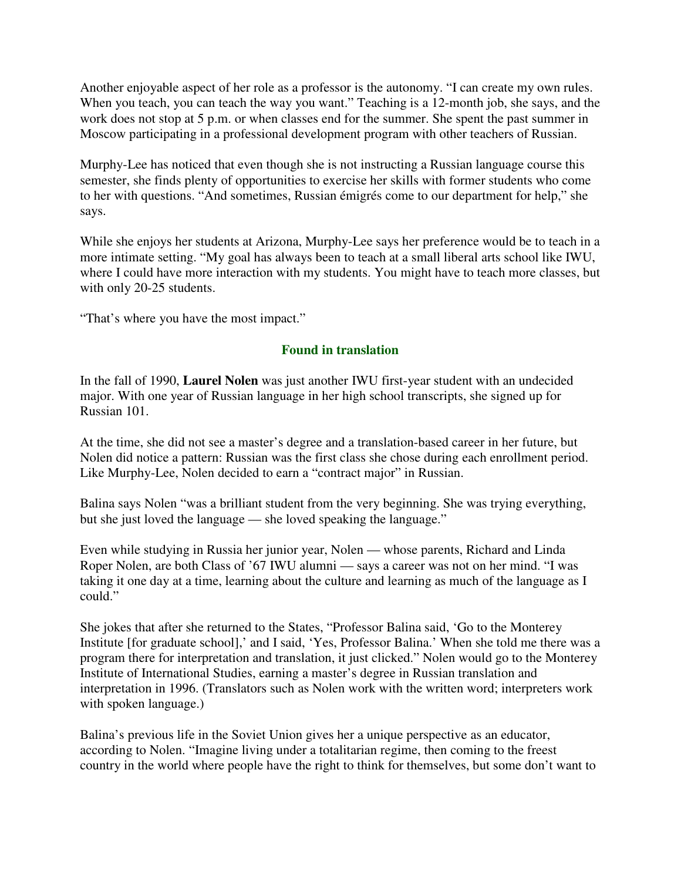Another enjoyable aspect of her role as a professor is the autonomy. "I can create my own rules. When you teach, you can teach the way you want." Teaching is a 12-month job, she says, and the work does not stop at 5 p.m. or when classes end for the summer. She spent the past summer in Moscow participating in a professional development program with other teachers of Russian.

Murphy-Lee has noticed that even though she is not instructing a Russian language course this semester, she finds plenty of opportunities to exercise her skills with former students who come to her with questions. "And sometimes, Russian émigrés come to our department for help," she says.

While she enjoys her students at Arizona, Murphy-Lee says her preference would be to teach in a more intimate setting. "My goal has always been to teach at a small liberal arts school like IWU, where I could have more interaction with my students. You might have to teach more classes, but with only 20-25 students.

"That's where you have the most impact."

## **Found in translation**

In the fall of 1990, **Laurel Nolen** was just another IWU first-year student with an undecided major. With one year of Russian language in her high school transcripts, she signed up for Russian 101.

At the time, she did not see a master's degree and a translation-based career in her future, but Nolen did notice a pattern: Russian was the first class she chose during each enrollment period. Like Murphy-Lee, Nolen decided to earn a "contract major" in Russian.

Balina says Nolen "was a brilliant student from the very beginning. She was trying everything, but she just loved the language — she loved speaking the language."

Even while studying in Russia her junior year, Nolen — whose parents, Richard and Linda Roper Nolen, are both Class of '67 IWU alumni — says a career was not on her mind. "I was taking it one day at a time, learning about the culture and learning as much of the language as I could."

She jokes that after she returned to the States, "Professor Balina said, 'Go to the Monterey Institute [for graduate school],' and I said, 'Yes, Professor Balina.' When she told me there was a program there for interpretation and translation, it just clicked." Nolen would go to the Monterey Institute of International Studies, earning a master's degree in Russian translation and interpretation in 1996. (Translators such as Nolen work with the written word; interpreters work with spoken language.)

Balina's previous life in the Soviet Union gives her a unique perspective as an educator, according to Nolen. "Imagine living under a totalitarian regime, then coming to the freest country in the world where people have the right to think for themselves, but some don't want to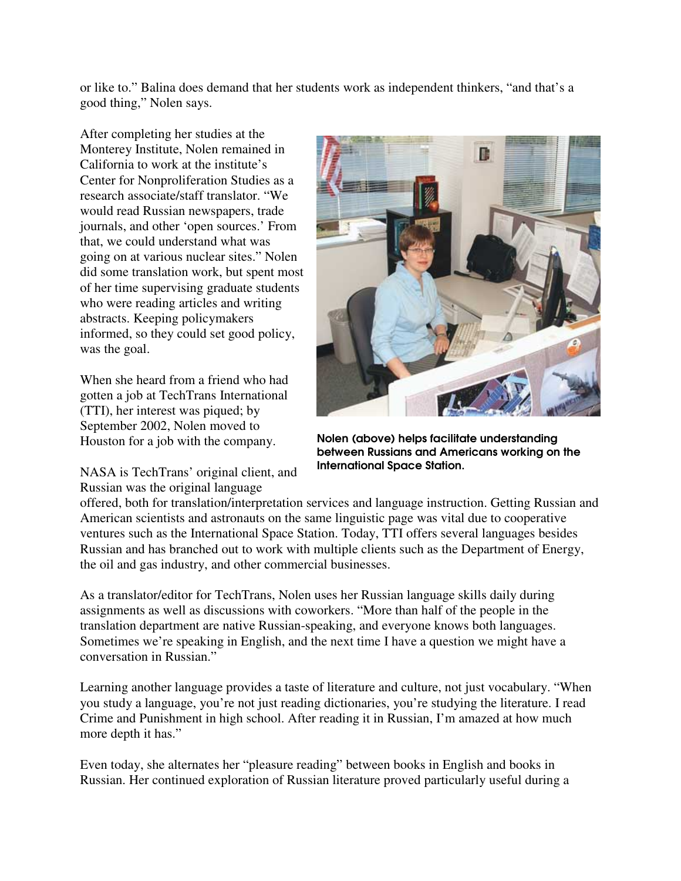or like to." Balina does demand that her students work as independent thinkers, "and that's a good thing," Nolen says.

After completing her studies at the Monterey Institute, Nolen remained in California to work at the institute's Center for Nonproliferation Studies as a research associate/staff translator. "We would read Russian newspapers, trade journals, and other 'open sources.' From that, we could understand what was going on at various nuclear sites." Nolen did some translation work, but spent most of her time supervising graduate students who were reading articles and writing abstracts. Keeping policymakers informed, so they could set good policy, was the goal.

When she heard from a friend who had gotten a job at TechTrans International (TTI), her interest was piqued; by September 2002, Nolen moved to Houston for a job with the company.

NASA is TechTrans' original client, and Russian was the original language



Nolen (above) helps facilitate understanding between Russians and Americans working on the International Space Station.

offered, both for translation/interpretation services and language instruction. Getting Russian and American scientists and astronauts on the same linguistic page was vital due to cooperative ventures such as the International Space Station. Today, TTI offers several languages besides Russian and has branched out to work with multiple clients such as the Department of Energy, the oil and gas industry, and other commercial businesses.

As a translator/editor for TechTrans, Nolen uses her Russian language skills daily during assignments as well as discussions with coworkers. "More than half of the people in the translation department are native Russian-speaking, and everyone knows both languages. Sometimes we're speaking in English, and the next time I have a question we might have a conversation in Russian."

Learning another language provides a taste of literature and culture, not just vocabulary. "When you study a language, you're not just reading dictionaries, you're studying the literature. I read Crime and Punishment in high school. After reading it in Russian, I'm amazed at how much more depth it has."

Even today, she alternates her "pleasure reading" between books in English and books in Russian. Her continued exploration of Russian literature proved particularly useful during a